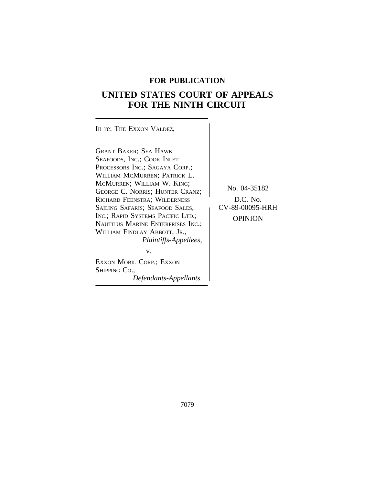## **FOR PUBLICATION**

# **UNITED STATES COURT OF APPEALS FOR THE NINTH CIRCUIT**

| In re: THE EXXON VALDEZ,                                                                                                                                                                                                                                                                                                                                                                                                                                                                |                                                          |
|-----------------------------------------------------------------------------------------------------------------------------------------------------------------------------------------------------------------------------------------------------------------------------------------------------------------------------------------------------------------------------------------------------------------------------------------------------------------------------------------|----------------------------------------------------------|
| <b>GRANT BAKER; SEA HAWK</b><br>SEAFOODS, INC.; COOK INLET<br>PROCESSORS INC.; SAGAYA CORP.;<br>WILLIAM MCMURREN; PATRICK L.<br>MCMURREN; WILLIAM W. KING;<br>GEORGE C. NORRIS; HUNTER CRANZ;<br>RICHARD FEENSTRA; WILDERNESS<br>SAILING SAFARIS; SEAFOOD SALES,<br>INC.; RAPID SYSTEMS PACIFIC LTD.;<br>NAUTILUS MARINE ENTERPRISES INC.:<br>WILLIAM FINDLAY ABBOTT, JR.,<br><i>Plaintiffs-Appellees,</i><br>V.<br>EXXON MOBIL CORP.; EXXON<br>SHIPPING CO.,<br>Defendants-Appellants. | No. 04-35182<br>$D.C.$ No.<br>CV-89-00095-HRH<br>OPINION |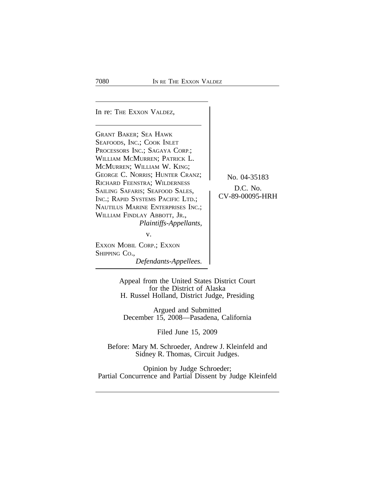In re: THE EXXON VALDEZ, GRANT BAKER; SEA HAWK SEAFOODS, INC.; COOK INLET PROCESSORS INC.; SAGAYA CORP.; WILLIAM MCMURREN; PATRICK L. MCMURREN; WILLIAM W. KING; GEORGE C. NORRIS; HUNTER CRANZ; No. 04-35183<br>RICHARD FEENSTRA: WILDERNESS RICHARD FEENSTRA; WILDERNESS<br>SAILING SAFARIS; SEAFOOD SALES, CV-89-00095-HRH INC.; RAPID SYSTEMS PACIFIC LTD.; NAUTILUS MARINE ENTERPRISES INC.; WILLIAM FINDLAY ABBOTT, JR., *Plaintiffs-Appellants,* v. EXXON MOBIL CORP.; EXXON SHIPPING CO., *Defendants-Appellees.*

> Appeal from the United States District Court for the District of Alaska H. Russel Holland, District Judge, Presiding

Argued and Submitted December 15, 2008—Pasadena, California

Filed June 15, 2009

Before: Mary M. Schroeder, Andrew J. Kleinfeld and Sidney R. Thomas, Circuit Judges.

Opinion by Judge Schroeder; Partial Concurrence and Partial Dissent by Judge Kleinfeld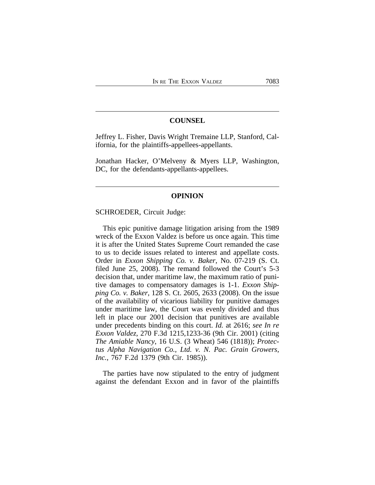### **COUNSEL**

Jeffrey L. Fisher, Davis Wright Tremaine LLP, Stanford, California, for the plaintiffs-appellees-appellants.

Jonathan Hacker, O'Melveny & Myers LLP, Washington, DC, for the defendants-appellants-appellees.

#### **OPINION**

SCHROEDER, Circuit Judge:

This epic punitive damage litigation arising from the 1989 wreck of the Exxon Valdez is before us once again. This time it is after the United States Supreme Court remanded the case to us to decide issues related to interest and appellate costs. Order in *Exxon Shipping Co. v. Baker*, No. 07-219 (S. Ct. filed June 25, 2008). The remand followed the Court's 5-3 decision that, under maritime law, the maximum ratio of punitive damages to compensatory damages is 1-1. *Exxon Shipping Co. v. Baker*, 128 S. Ct. 2605, 2633 (2008). On the issue of the availability of vicarious liability for punitive damages under maritime law, the Court was evenly divided and thus left in place our 2001 decision that punitives are available under precedents binding on this court. *Id.* at 2616; *see In re Exxon Valdez*, 270 F.3d 1215,1233-36 (9th Cir. 2001) (citing *The Amiable Nancy*, 16 U.S. (3 Wheat) 546 (1818)); *Protectus Alpha Navigation Co., Ltd. v. N. Pac. Grain Growers, Inc.*, 767 F.2d 1379 (9th Cir. 1985)).

The parties have now stipulated to the entry of judgment against the defendant Exxon and in favor of the plaintiffs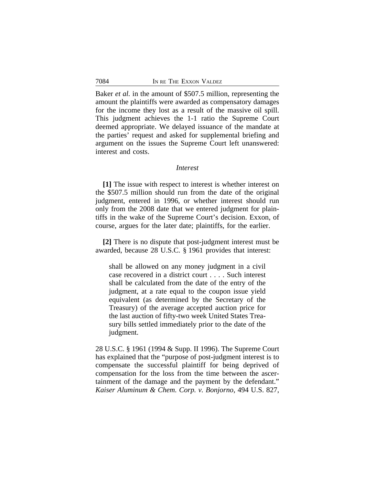Baker *et al.* in the amount of \$507.5 million, representing the amount the plaintiffs were awarded as compensatory damages for the income they lost as a result of the massive oil spill. This judgment achieves the 1-1 ratio the Supreme Court deemed appropriate. We delayed issuance of the mandate at the parties' request and asked for supplemental briefing and argument on the issues the Supreme Court left unanswered: interest and costs.

#### *Interest*

**[1]** The issue with respect to interest is whether interest on the \$507.5 million should run from the date of the original judgment, entered in 1996, or whether interest should run only from the 2008 date that we entered judgment for plaintiffs in the wake of the Supreme Court's decision. Exxon, of course, argues for the later date; plaintiffs, for the earlier.

**[2]** There is no dispute that post-judgment interest must be awarded, because 28 U.S.C. § 1961 provides that interest:

shall be allowed on any money judgment in a civil case recovered in a district court . . . . Such interest shall be calculated from the date of the entry of the judgment, at a rate equal to the coupon issue yield equivalent (as determined by the Secretary of the Treasury) of the average accepted auction price for the last auction of fifty-two week United States Treasury bills settled immediately prior to the date of the judgment.

28 U.S.C. § 1961 (1994 & Supp. II 1996). The Supreme Court has explained that the "purpose of post-judgment interest is to compensate the successful plaintiff for being deprived of compensation for the loss from the time between the ascertainment of the damage and the payment by the defendant." *Kaiser Aluminum & Chem. Corp. v. Bonjorno*, 494 U.S. 827,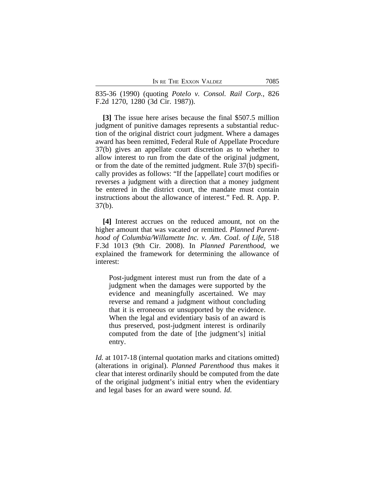835-36 (1990) (quoting *Potelo v. Consol. Rail Corp.*, 826 F.2d 1270, 1280 (3d Cir. 1987)).

**[3]** The issue here arises because the final \$507.5 million judgment of punitive damages represents a substantial reduction of the original district court judgment. Where a damages award has been remitted, Federal Rule of Appellate Procedure 37(b) gives an appellate court discretion as to whether to allow interest to run from the date of the original judgment, or from the date of the remitted judgment. Rule 37(b) specifically provides as follows: "If the [appellate] court modifies or reverses a judgment with a direction that a money judgment be entered in the district court, the mandate must contain instructions about the allowance of interest." Fed. R. App. P. 37(b).

**[4]** Interest accrues on the reduced amount, not on the higher amount that was vacated or remitted. *Planned Parenthood of Columbia/Willamette Inc. v. Am. Coal. of Life*, 518 F.3d 1013 (9th Cir. 2008). In *Planned Parenthood*, we explained the framework for determining the allowance of interest:

Post-judgment interest must run from the date of a judgment when the damages were supported by the evidence and meaningfully ascertained. We may reverse and remand a judgment without concluding that it is erroneous or unsupported by the evidence. When the legal and evidentiary basis of an award is thus preserved, post-judgment interest is ordinarily computed from the date of [the judgment's] initial entry.

*Id.* at 1017-18 (internal quotation marks and citations omitted) (alterations in original). *Planned Parenthood* thus makes it clear that interest ordinarily should be computed from the date of the original judgment's initial entry when the evidentiary and legal bases for an award were sound. *Id.*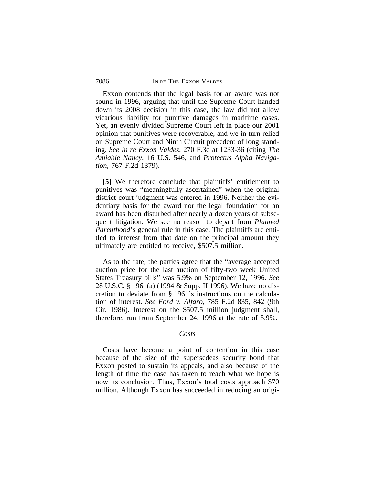Exxon contends that the legal basis for an award was not sound in 1996, arguing that until the Supreme Court handed down its 2008 decision in this case, the law did not allow vicarious liability for punitive damages in maritime cases. Yet, an evenly divided Supreme Court left in place our 2001 opinion that punitives were recoverable, and we in turn relied on Supreme Court and Ninth Circuit precedent of long standing. *See In re Exxon Valdez*, 270 F.3d at 1233-36 (citing *The Amiable Nancy*, 16 U.S. 546, and *Protectus Alpha Navigation*, 767 F.2d 1379).

**[5]** We therefore conclude that plaintiffs' entitlement to punitives was "meaningfully ascertained" when the original district court judgment was entered in 1996. Neither the evidentiary basis for the award nor the legal foundation for an award has been disturbed after nearly a dozen years of subsequent litigation. We see no reason to depart from *Planned Parenthood*'s general rule in this case. The plaintiffs are entitled to interest from that date on the principal amount they ultimately are entitled to receive, \$507.5 million.

As to the rate, the parties agree that the "average accepted auction price for the last auction of fifty-two week United States Treasury bills" was 5.9% on September 12, 1996. *See* 28 U.S.C. § 1961(a) (1994 & Supp. II 1996). We have no discretion to deviate from § 1961's instructions on the calculation of interest. *See Ford v. Alfaro*, 785 F.2d 835, 842 (9th Cir. 1986). Interest on the \$507.5 million judgment shall, therefore, run from September 24, 1996 at the rate of 5.9%.

#### *Costs*

Costs have become a point of contention in this case because of the size of the supersedeas security bond that Exxon posted to sustain its appeals, and also because of the length of time the case has taken to reach what we hope is now its conclusion. Thus, Exxon's total costs approach \$70 million. Although Exxon has succeeded in reducing an origi-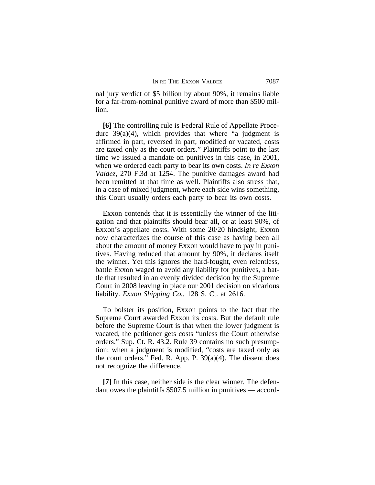nal jury verdict of \$5 billion by about 90%, it remains liable for a far-from-nominal punitive award of more than \$500 million.

**[6]** The controlling rule is Federal Rule of Appellate Procedure  $39(a)(4)$ , which provides that where "a judgment is affirmed in part, reversed in part, modified or vacated, costs are taxed only as the court orders." Plaintiffs point to the last time we issued a mandate on punitives in this case, in 2001, when we ordered each party to bear its own costs. *In re Exxon Valdez*, 270 F.3d at 1254. The punitive damages award had been remitted at that time as well. Plaintiffs also stress that, in a case of mixed judgment, where each side wins something, this Court usually orders each party to bear its own costs.

Exxon contends that it is essentially the winner of the litigation and that plaintiffs should bear all, or at least 90%, of Exxon's appellate costs. With some 20/20 hindsight, Exxon now characterizes the course of this case as having been all about the amount of money Exxon would have to pay in punitives. Having reduced that amount by 90%, it declares itself the winner. Yet this ignores the hard-fought, even relentless, battle Exxon waged to avoid any liability for punitives, a battle that resulted in an evenly divided decision by the Supreme Court in 2008 leaving in place our 2001 decision on vicarious liability. *Exxon Shipping Co.*, 128 S. Ct. at 2616.

To bolster its position, Exxon points to the fact that the Supreme Court awarded Exxon its costs. But the default rule before the Supreme Court is that when the lower judgment is vacated, the petitioner gets costs "unless the Court otherwise orders." Sup. Ct. R. 43.2. Rule 39 contains no such presumption: when a judgment is modified, "costs are taxed only as the court orders." Fed. R. App. P. 39(a)(4). The dissent does not recognize the difference.

**[7]** In this case, neither side is the clear winner. The defendant owes the plaintiffs \$507.5 million in punitives — accord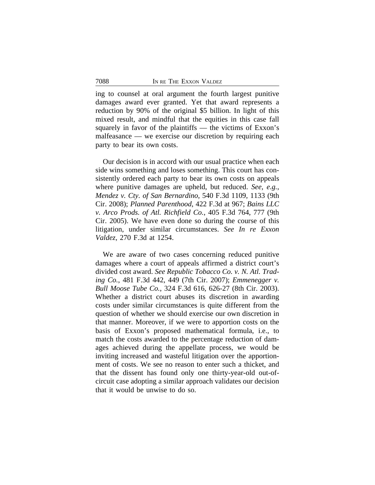ing to counsel at oral argument the fourth largest punitive damages award ever granted. Yet that award represents a reduction by 90% of the original \$5 billion. In light of this mixed result, and mindful that the equities in this case fall squarely in favor of the plaintiffs — the victims of Exxon's malfeasance — we exercise our discretion by requiring each party to bear its own costs.

Our decision is in accord with our usual practice when each side wins something and loses something. This court has consistently ordered each party to bear its own costs on appeals where punitive damages are upheld, but reduced. *See, e.g.*, *Mendez v. Cty. of San Bernardino*, 540 F.3d 1109, 1133 (9th Cir. 2008); *Planned Parenthood*, 422 F.3d at 967; *Bains LLC v. Arco Prods. of Atl. Richfield Co.*, 405 F.3d 764, 777 (9th Cir. 2005). We have even done so during the course of this litigation, under similar circumstances. *See In re Exxon Valdez*, 270 F.3d at 1254.

We are aware of two cases concerning reduced punitive damages where a court of appeals affirmed a district court's divided cost award. *See Republic Tobacco Co. v. N. Atl. Trading Co.*, 481 F.3d 442, 449 (7th Cir. 2007); *Emmenegger v. Bull Moose Tube Co.*, 324 F.3d 616, 626-27 (8th Cir. 2003). Whether a district court abuses its discretion in awarding costs under similar circumstances is quite different from the question of whether we should exercise our own discretion in that manner. Moreover, if we were to apportion costs on the basis of Exxon's proposed mathematical formula, i.e., to match the costs awarded to the percentage reduction of damages achieved during the appellate process, we would be inviting increased and wasteful litigation over the apportionment of costs. We see no reason to enter such a thicket, and that the dissent has found only one thirty-year-old out-ofcircuit case adopting a similar approach validates our decision that it would be unwise to do so.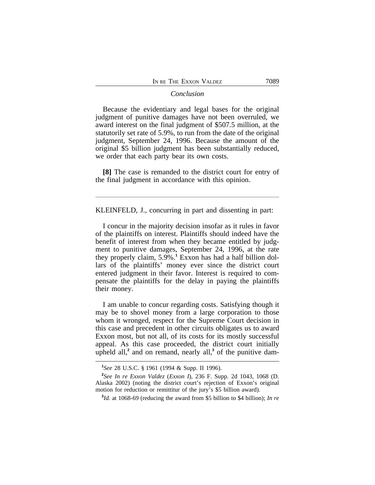#### *Conclusion*

Because the evidentiary and legal bases for the original judgment of punitive damages have not been overruled, we award interest on the final judgment of \$507.5 million, at the statutorily set rate of 5.9%, to run from the date of the original judgment, September 24, 1996. Because the amount of the original \$5 billion judgment has been substantially reduced, we order that each party bear its own costs.

**[8]** The case is remanded to the district court for entry of the final judgment in accordance with this opinion.

KLEINFELD, J., concurring in part and dissenting in part:

I concur in the majority decision insofar as it rules in favor of the plaintiffs on interest. Plaintiffs should indeed have the benefit of interest from when they became entitled by judgment to punitive damages, September 24, 1996, at the rate they properly claim, 5.9%.**<sup>1</sup>** Exxon has had a half billion dollars of the plaintiffs' money ever since the district court entered judgment in their favor. Interest is required to compensate the plaintiffs for the delay in paying the plaintiffs their money.

I am unable to concur regarding costs. Satisfying though it may be to shovel money from a large corporation to those whom it wronged, respect for the Supreme Court decision in this case and precedent in other circuits obligates us to award Exxon most, but not all, of its costs for its mostly successful appeal. As this case proceeded, the district court initially upheld all,<sup>2</sup> and on remand, nearly all,<sup>3</sup> of the punitive dam-

**<sup>1</sup>** *See* 28 U.S.C. § 1961 (1994 & Supp. II 1996).

**<sup>2</sup>** *See In re Exxon Valdez* (*Exxon I*), 236 F. Supp. 2d 1043, 1068 (D. Alaska 2002) (noting the district court's rejection of Exxon's original motion for reduction or remittitur of the jury's \$5 billion award).

**<sup>3</sup>** *Id.* at 1068-69 (reducing the award from \$5 billion to \$4 billion); *In re*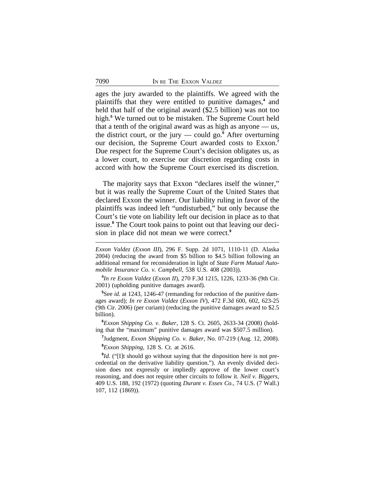ages the jury awarded to the plaintiffs. We agreed with the plaintiffs that they were entitled to punitive damages,**<sup>4</sup>** and held that half of the original award (\$2.5 billion) was not too high.**<sup>5</sup>** We turned out to be mistaken. The Supreme Court held that a tenth of the original award was as high as anyone — us, the district court, or the jury — could go.**<sup>6</sup>** After overturning our decision, the Supreme Court awarded costs to Exxon.**<sup>7</sup>** Due respect for the Supreme Court's decision obligates us, as a lower court, to exercise our discretion regarding costs in accord with how the Supreme Court exercised its discretion.

The majority says that Exxon "declares itself the winner," but it was really the Supreme Court of the United States that declared Exxon the winner. Our liability ruling in favor of the plaintiffs was indeed left "undisturbed," but only because the Court's tie vote on liability left our decision in place as to that issue.**<sup>8</sup>** The Court took pains to point out that leaving our decision in place did not mean we were correct.**<sup>9</sup>**

**4** *In re Exxon Valdez* (*Exxon II*), 270 F.3d 1215, 1226, 1233-36 (9th Cir. 2001) (upholding punitive damages award).

**<sup>5</sup>**See *id.* at 1243, 1246-47 (remanding for reduction of the punitive damages award); *In re Exxon Valdez* (*Exxon IV*), 472 F.3d 600, 602, 623-25 (9th Cir. 2006) (per curiam) (reducing the punitive damages award to \$2.5 billion).

**<sup>6</sup>***Exxon Shipping Co. v. Baker*, 128 S. Ct. 2605, 2633-34 (2008) (holding that the "maximum" punitive damages award was \$507.5 million).

**7** Judgment, *Exxon Shipping Co. v. Baker*, No. 07-219 (Aug. 12, 2008).

**<sup>8</sup>***Exxon Shipping*, 128 S. Ct. at 2616.

<sup>9</sup>*Id.* ("[I]t should go without saying that the disposition here is not precedential on the derivative liability question."). An evenly divided decision does not expressly or impliedly approve of the lower court's reasoning, and does not require other circuits to follow it. *Neil v. Biggers*, 409 U.S. 188, 192 (1972) (quoting *Durant v. Essex Co.*, 74 U.S. (7 Wall.) 107, 112 (1869)).

*Exxon Valdez* (*Exxon III*), 296 F. Supp. 2d 1071, 1110-11 (D. Alaska 2004) (reducing the award from \$5 billion to \$4.5 billion following an additional remand for reconsideration in light of *State Farm Mutual Automobile Insurance Co. v. Campbell*, 538 U.S. 408 (2003)).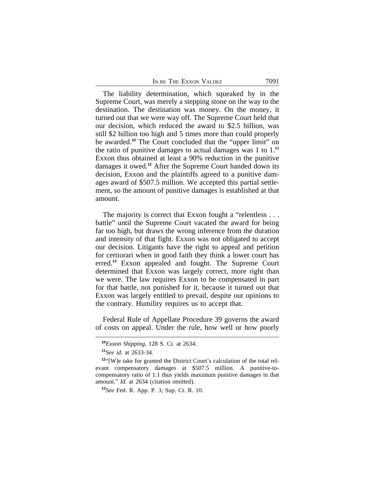| IN RE THE EXXON VALDEZ | 7091 |
|------------------------|------|
|                        |      |

The liability determination, which squeaked by in the Supreme Court, was merely a stepping stone on the way to the destination. The destination was money. On the money, it turned out that we were way off. The Supreme Court held that our decision, which reduced the award to \$2.5 billion, was still \$2 billion too high and 5 times more than could properly be awarded.**<sup>10</sup>** The Court concluded that the "upper limit" on the ratio of punitive damages to actual damages was 1 to 1.**<sup>11</sup>** Exxon thus obtained at least a 90% reduction in the punitive damages it owed.**<sup>12</sup>** After the Supreme Court handed down its decision, Exxon and the plaintiffs agreed to a punitive damages award of \$507.5 million. We accepted this partial settlement, so the amount of punitive damages is established at that amount.

The majority is correct that Exxon fought a "relentless... battle" until the Supreme Court vacated the award for being far too high, but draws the wrong inference from the duration and intensity of that fight. Exxon was not obligated to accept our decision. Litigants have the right to appeal and petition for certiorari when in good faith they think a lower court has erred.**<sup>13</sup>** Exxon appealed and fought. The Supreme Court determined that Exxon was largely correct, more right than we were. The law requires Exxon to be compensated in part for that battle, not punished for it, because it turned out that Exxon was largely entitled to prevail, despite our opinions to the contrary. Humility requires us to accept that.

Federal Rule of Appellate Procedure 39 governs the award of costs on appeal. Under the rule, how well or how poorly

**<sup>10</sup>***Exxon Shipping*, 128 S. Ct. at 2634.

**<sup>11</sup>***See id.* at 2633-34.

**<sup>12</sup>**"[W]e take for granted the District Court's calculation of the total relevant compensatory damages at \$507.5 million. A punitive-tocompensatory ratio of 1:1 thus yields maximum punitive damages in that amount." *Id.* at 2634 (citation omitted).

**<sup>13</sup>***See* Fed. R. App. P. 3; Sup. Ct. R. 10.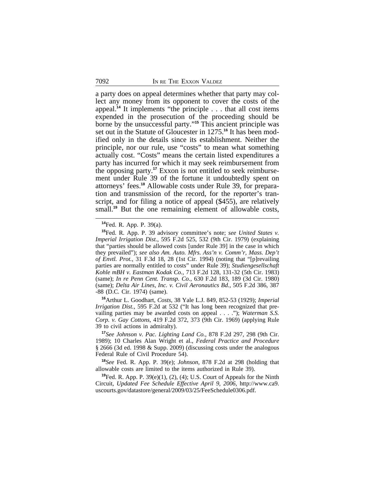a party does on appeal determines whether that party may collect any money from its opponent to cover the costs of the appeal.**<sup>14</sup>** It implements "the principle . . . that all cost items expended in the prosecution of the proceeding should be borne by the unsuccessful party." **<sup>15</sup>** This ancient principle was set out in the Statute of Gloucester in 1275.**16** It has been modified only in the details since its establishment. Neither the principle, nor our rule, use "costs" to mean what something actually cost. "Costs" means the certain listed expenditures a party has incurred for which it may seek reimbursement from the opposing party.**17** Exxon is not entitled to seek reimbursement under Rule 39 of the fortune it undoubtedly spent on attorneys' fees.**18** Allowable costs under Rule 39, for preparation and transmission of the record, for the reporter's transcript, and for filing a notice of appeal (\$455), are relatively small.<sup>19</sup> But the one remaining element of allowable costs,

**<sup>16</sup>**Arthur L. Goodhart, *Costs*, 38 Yale L.J. 849, 852-53 (1929); *Imperial Irrigation Dist.*, 595 F.2d at 532 ("It has long been recognized that prevailing parties may be awarded costs on appeal . . . ."); *Waterman S.S. Corp. v. Gay Cottons*, 419 F.2d 372, 373 (9th Cir. 1969) (applying Rule 39 to civil actions in admiralty).

**<sup>17</sup>***See Johnson v. Pac. Lighting Land Co.*, 878 F.2d 297, 298 (9th Cir. 1989); 10 Charles Alan Wright et al., *Federal Practice and Procedure* § 2666 (3d ed. 1998 & Supp. 2009) (discussing costs under the analogous Federal Rule of Civil Procedure 54).

**<sup>18</sup>***See* Fed. R. App. P. 39(e); *Johnson*, 878 F.2d at 298 (holding that allowable costs are limited to the items authorized in Rule 39).

**<sup>19</sup>**Fed. R. App. P. 39(e)(1), (2), (4); U.S. Court of Appeals for the Ninth Circuit, *Updated Fee Schedule Effective April 9, 2006*, http://www.ca9. uscourts.gov/datastore/general/2009/03/25/FeeSchedule0306.pdf.

**<sup>14</sup>**Fed. R. App. P. 39(a).

**<sup>15</sup>**Fed. R. App. P. 39 advisory committee's note; *see United States v. Imperial Irrigation Dist.*, 595 F.2d 525, 532 (9th Cir. 1979) (explaining that "parties should be allowed costs [under Rule 39] in the case in which they prevailed"); *see also Am. Auto. Mfrs. Ass'n v. Comm'r, Mass. Dep't of Envtl. Prot.*, 31 F.3d 18, 28 (1st Cir. 1994) (noting that "[p]revailing parties are normally entitled to costs" under Rule 39); *Studiengesellschaft Kohle mBH v. Eastman Kodak Co.*, 713 F.2d 128, 131-32 (5th Cir. 1983) (same); *In re Penn Cent. Transp. Co.*, 630 F.2d 183, 189 (3d Cir. 1980) (same); *Delta Air Lines, Inc. v. Civil Aeronautics Bd.*, 505 F.2d 386, 387 -88 (D.C. Cir. 1974) (same).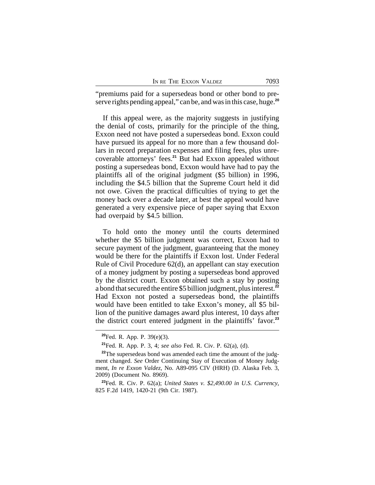| IN RE THE EXXON VALDEZ |  | 7093 |
|------------------------|--|------|
|------------------------|--|------|

"premiums paid for a supersedeas bond or other bond to preserve rights pending appeal," can be, and was in this case, huge.**<sup>20</sup>**

If this appeal were, as the majority suggests in justifying the denial of costs, primarily for the principle of the thing, Exxon need not have posted a supersedeas bond. Exxon could have pursued its appeal for no more than a few thousand dollars in record preparation expenses and filing fees, plus unrecoverable attorneys' fees.**<sup>21</sup>** But had Exxon appealed without posting a supersedeas bond, Exxon would have had to pay the plaintiffs all of the original judgment (\$5 billion) in 1996, including the \$4.5 billion that the Supreme Court held it did not owe. Given the practical difficulties of trying to get the money back over a decade later, at best the appeal would have generated a very expensive piece of paper saying that Exxon had overpaid by \$4.5 billion.

To hold onto the money until the courts determined whether the \$5 billion judgment was correct, Exxon had to secure payment of the judgment, guaranteeing that the money would be there for the plaintiffs if Exxon lost. Under Federal Rule of Civil Procedure 62(d), an appellant can stay execution of a money judgment by posting a supersedeas bond approved by the district court. Exxon obtained such a stay by posting a bond that secured the entire \$5 billion judgment, plus interest.**<sup>22</sup>** Had Exxon not posted a supersedeas bond, the plaintiffs would have been entitled to take Exxon's money, all \$5 billion of the punitive damages award plus interest, 10 days after the district court entered judgment in the plaintiffs' favor.**<sup>23</sup>**

**<sup>20</sup>**Fed. R. App. P. 39(e)(3).

**<sup>21</sup>**Fed. R. App. P. 3, 4; *see also* Fed. R. Civ. P. 62(a), (d).

<sup>&</sup>lt;sup>22</sup>The supersedeas bond was amended each time the amount of the judgment changed. *See* Order Continuing Stay of Execution of Money Judgment, *In re Exxon Valdez*, No. A89-095 CIV (HRH) (D. Alaska Feb. 3, 2009) (Document No. 8969).

**<sup>23</sup>**Fed. R. Civ. P. 62(a); *United States v. \$2,490.00 in U.S. Currency*, 825 F.2d 1419, 1420-21 (9th Cir. 1987).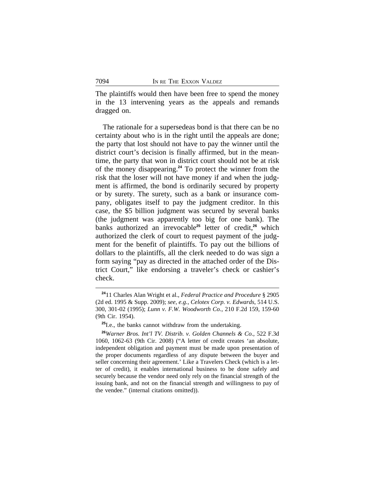The plaintiffs would then have been free to spend the money in the 13 intervening years as the appeals and remands dragged on.

The rationale for a supersedeas bond is that there can be no certainty about who is in the right until the appeals are done; the party that lost should not have to pay the winner until the district court's decision is finally affirmed, but in the meantime, the party that won in district court should not be at risk of the money disappearing.**<sup>24</sup>** To protect the winner from the risk that the loser will not have money if and when the judgment is affirmed, the bond is ordinarily secured by property or by surety. The surety, such as a bank or insurance company, obligates itself to pay the judgment creditor. In this case, the \$5 billion judgment was secured by several banks (the judgment was apparently too big for one bank). The banks authorized an irrevocable<sup>25</sup> letter of credit,<sup>26</sup> which authorized the clerk of court to request payment of the judgment for the benefit of plaintiffs. To pay out the billions of dollars to the plaintiffs, all the clerk needed to do was sign a form saying "pay as directed in the attached order of the District Court," like endorsing a traveler's check or cashier's check.

**<sup>24</sup>**11 Charles Alan Wright et al., *Federal Practice and Procedure* § 2905 (2d ed. 1995 & Supp. 2009); *see, e.g.*, *Celotex Corp. v. Edwards*, 514 U.S. 300, 301-02 (1995); *Lunn v. F.W. Woodworth Co.*, 210 F.2d 159, 159-60 (9th Cir. 1954).

**<sup>25</sup>**I.e., the banks cannot withdraw from the undertaking.

**<sup>26</sup>***Warner Bros. Int'l TV. Distrib. v. Golden Channels & Co.*, 522 F.3d 1060, 1062-63 (9th Cir. 2008) ("A letter of credit creates 'an absolute, independent obligation and payment must be made upon presentation of the proper documents regardless of any dispute between the buyer and seller concerning their agreement.' Like a Travelers Check (which is a letter of credit), it enables international business to be done safely and securely because the vendor need only rely on the financial strength of the issuing bank, and not on the financial strength and willingness to pay of the vendee." (internal citations omitted)).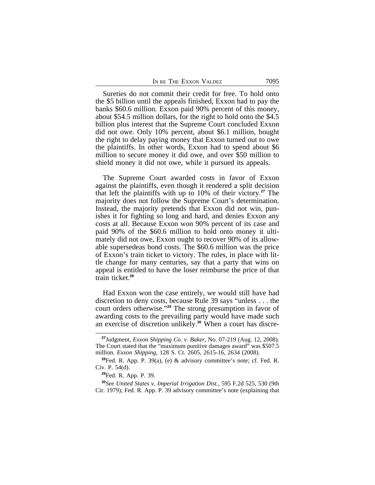| IN RE THE EXXON VALDEZ | 7095 |
|------------------------|------|
|------------------------|------|

Sureties do not commit their credit for free. To hold onto the \$5 billion until the appeals finished, Exxon had to pay the banks \$60.6 million. Exxon paid 90% percent of this money, about \$54.5 million dollars, for the right to hold onto the \$4.5 billion plus interest that the Supreme Court concluded Exxon did not owe. Only 10% percent, about \$6.1 million, bought the right to delay paying money that Exxon turned out to owe the plaintiffs. In other words, Exxon had to spend about \$6 million to secure money it did owe, and over \$50 million to shield money it did not owe, while it pursued its appeals.

The Supreme Court awarded costs in favor of Exxon against the plaintiffs, even though it rendered a split decision that left the plaintiffs with up to 10% of their victory.**<sup>27</sup>** The majority does not follow the Supreme Court's determination. Instead, the majority pretends that Exxon did not win, punishes it for fighting so long and hard, and denies Exxon any costs at all. Because Exxon won 90% percent of its case and paid 90% of the \$60.6 million to hold onto money it ultimately did not owe, Exxon ought to recover 90% of its allowable supersedeas bond costs. The \$60.6 million was the price of Exxon's train ticket to victory. The rules, in place with little change for many centuries, say that a party that wins on appeal is entitled to have the loser reimburse the price of that train ticket.**<sup>28</sup>**

Had Exxon won the case entirely, we would still have had discretion to deny costs, because Rule 39 says "unless . . . the court orders otherwise." **<sup>29</sup>** The strong presumption in favor of awarding costs to the prevailing party would have made such an exercise of discretion unlikely.**30** When a court has discre-

**<sup>30</sup>***See United States v. Imperial Irrigation Dist.*, 595 F.2d 525, 530 (9th Cir. 1979); Fed. R. App. P. 39 advisory committee's note (explaining that

**<sup>27</sup>**Judgment, *Exxon Shipping Co. v. Baker*, No. 07-219 (Aug. 12, 2008). The Court stated that the "maximum punitive damages award" was \$507.5 million. *Exxon Shipping*, 128 S. Ct. 2605, 2615-16, 2634 (2008).

**<sup>28</sup>**Fed. R. App. P. 39(a), (e) & advisory committee's note; cf. Fed. R. Civ. P. 54(d).

**<sup>29</sup>**Fed. R. App. P. 39.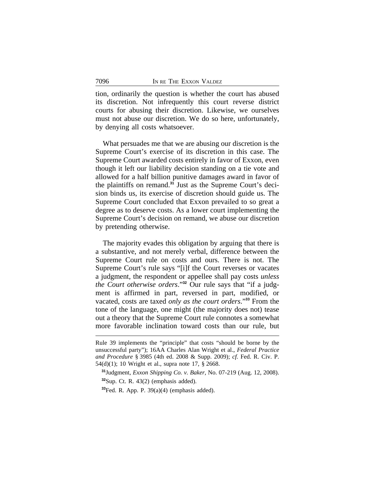tion, ordinarily the question is whether the court has abused its discretion. Not infrequently this court reverse district courts for abusing their discretion. Likewise, we ourselves must not abuse our discretion. We do so here, unfortunately, by denying all costs whatsoever.

What persuades me that we are abusing our discretion is the Supreme Court's exercise of its discretion in this case. The Supreme Court awarded costs entirely in favor of Exxon, even though it left our liability decision standing on a tie vote and allowed for a half billion punitive damages award in favor of the plaintiffs on remand.**31** Just as the Supreme Court's decision binds us, its exercise of discretion should guide us. The Supreme Court concluded that Exxon prevailed to so great a degree as to deserve costs. As a lower court implementing the Supreme Court's decision on remand, we abuse our discretion by pretending otherwise.

The majority evades this obligation by arguing that there is a substantive, and not merely verbal, difference between the Supreme Court rule on costs and ours. There is not. The Supreme Court's rule says "[i]f the Court reverses or vacates a judgment, the respondent or appellee shall pay costs *unless the Court otherwise orders*." **32** Our rule says that "if a judgment is affirmed in part, reversed in part, modified, or vacated, costs are taxed *only as the court orders*." **<sup>33</sup>** From the tone of the language, one might (the majority does not) tease out a theory that the Supreme Court rule connotes a somewhat more favorable inclination toward costs than our rule, but

**<sup>31</sup>**Judgment, *Exxon Shipping Co. v. Baker*, No. 07-219 (Aug. 12, 2008). **<sup>32</sup>**Sup. Ct. R. 43(2) (emphasis added).

**<sup>33</sup>**Fed. R. App. P. 39(a)(4) (emphasis added).

Rule 39 implements the "principle" that costs "should be borne by the unsuccessful party"); 16AA Charles Alan Wright et al., *Federal Practice and Procedure* § 3985 (4th ed. 2008 & Supp. 2009); *cf.* Fed. R. Civ. P. 54(d)(1); 10 Wright et al., supra note 17, § 2668.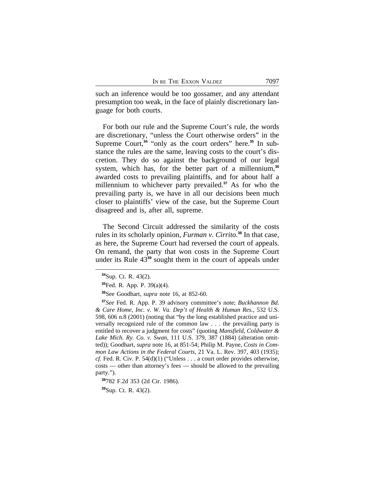such an inference would be too gossamer, and any attendant presumption too weak, in the face of plainly discretionary language for both courts.

For both our rule and the Supreme Court's rule, the words are discretionary, "unless the Court otherwise orders" in the Supreme Court,<sup>34</sup> "only as the court orders" here.<sup>35</sup> In substance the rules are the same, leaving costs to the court's discretion. They do so against the background of our legal system, which has, for the better part of a millennium,**<sup>36</sup>** awarded costs to prevailing plaintiffs, and for about half a millennium to whichever party prevailed.**<sup>37</sup>** As for who the prevailing party is, we have in all our decisions been much closer to plaintiffs' view of the case, but the Supreme Court disagreed and is, after all, supreme.

The Second Circuit addressed the similarity of the costs rules in its scholarly opinion, *Furman v. Cirrito*. **<sup>38</sup>** In that case, as here, the Supreme Court had reversed the court of appeals. On remand, the party that won costs in the Supreme Court under its Rule 43**<sup>39</sup>** sought them in the court of appeals under

**<sup>39</sup>**Sup. Ct. R. 43(2).

**<sup>34</sup>**Sup. Ct. R. 43(2).

**<sup>35</sup>**Fed. R. App. P. 39(a)(4).

**<sup>36</sup>**See Goodhart, *supra* note 16, at 852-60.

**<sup>37</sup>***See* Fed. R. App. P. 39 advisory committee's note; *Buckhannon Bd. & Care Home, Inc. v. W. Va. Dep't of Health & Human Res.*, 532 U.S. 598, 606 n.8 (2001) (noting that "by the long established practice and universally recognized rule of the common law . . . the prevailing party is entitled to recover a judgment for costs" (quoting *Mansfield, Coldwater & Lake Mich. Ry. Co. v. Swan*, 111 U.S. 379, 387 (1884) (alteration omitted)); Goodhart, *supra* note 16, at 851-54; Philip M. Payne, *Costs in Common Law Actions in the Federal Courts*, 21 Va. L. Rev. 397, 403 (1935); *cf.* Fed. R. Civ. P.  $54(d)(1)$  ("Unless . . . a court order provides otherwise, costs — other than attorney's fees — should be allowed to the prevailing party.").

**<sup>38</sup>**782 F.2d 353 (2d Cir. 1986).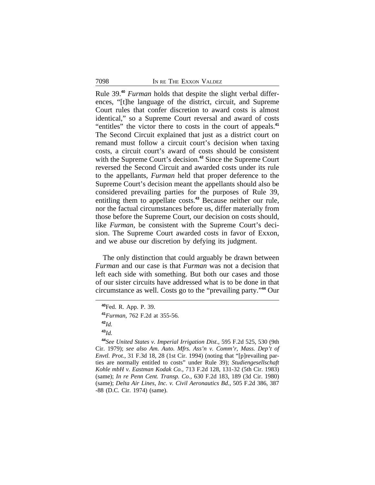Rule 39.**<sup>40</sup>** *Furman* holds that despite the slight verbal differences, "[t]he language of the district, circuit, and Supreme Court rules that confer discretion to award costs is almost identical," so a Supreme Court reversal and award of costs "entitles" the victor there to costs in the court of appeals.**<sup>41</sup>** The Second Circuit explained that just as a district court on remand must follow a circuit court's decision when taxing costs, a circuit court's award of costs should be consistent with the Supreme Court's decision.**<sup>42</sup>** Since the Supreme Court reversed the Second Circuit and awarded costs under its rule to the appellants, *Furman* held that proper deference to the Supreme Court's decision meant the appellants should also be considered prevailing parties for the purposes of Rule 39, entitling them to appellate costs.**<sup>43</sup>** Because neither our rule, nor the factual circumstances before us, differ materially from those before the Supreme Court, our decision on costs should, like *Furman*, be consistent with the Supreme Court's decision. The Supreme Court awarded costs in favor of Exxon, and we abuse our discretion by defying its judgment.

The only distinction that could arguably be drawn between *Furman* and our case is that *Furman* was not a decision that left each side with something. But both our cases and those of our sister circuits have addressed what is to be done in that circumstance as well. Costs go to the "prevailing party." **<sup>44</sup>** Our

**<sup>40</sup>**Fed. R. App. P. 39.

**<sup>41</sup>***Furman*, 762 F.2d at 355-56.

**<sup>42</sup>***Id.*

**<sup>43</sup>***Id.*

**<sup>44</sup>***See United States v. Imperial Irrigation Dist.*, 595 F.2d 525, 530 (9th Cir. 1979); *see also Am. Auto. Mfrs. Ass'n v. Comm'r, Mass. Dep't of Envtl. Prot.*, 31 F.3d 18, 28 (1st Cir. 1994) (noting that "[p]revailing parties are normally entitled to costs" under Rule 39); *Studiengesellschaft Kohle mbH v. Eastman Kodak Co.*, 713 F.2d 128, 131-32 (5th Cir. 1983) (same); *In re Penn Cent. Transp. Co.*, 630 F.2d 183, 189 (3d Cir. 1980) (same); *Delta Air Lines, Inc. v. Civil Aeronautics Bd.*, 505 F.2d 386, 387 -88 (D.C. Cir. 1974) (same).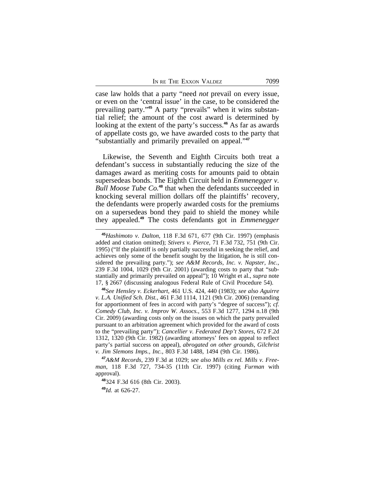case law holds that a party "need *not* prevail on every issue, or even on the 'central issue' in the case, to be considered the prevailing party." **45** A party "prevails" when it wins substantial relief; the amount of the cost award is determined by looking at the extent of the party's success.**<sup>46</sup>** As far as awards of appellate costs go, we have awarded costs to the party that "substantially and primarily prevailed on appeal." **47**

Likewise, the Seventh and Eighth Circuits both treat a defendant's success in substantially reducing the size of the damages award as meriting costs for amounts paid to obtain supersedeas bonds. The Eighth Circuit held in *Emmenegger v. Bull Moose Tube Co.***<sup>48</sup>** that when the defendants succeeded in knocking several million dollars off the plaintiffs' recovery, the defendants were properly awarded costs for the premiums on a supersedeas bond they paid to shield the money while they appealed.**<sup>49</sup>** The costs defendants got in *Emmenegger*

**<sup>45</sup>***Hashimoto v. Dalton*, 118 F.3d 671, 677 (9th Cir. 1997) (emphasis added and citation omitted); *Stivers v. Pierce*, 71 F.3d 732, 751 (9th Cir. 1995) ("If the plaintiff is only partially successful in seeking the relief, and achieves only some of the benefit sought by the litigation, he is still considered the prevailing party."); *see A&M Records, Inc. v. Napster, Inc.*, 239 F.3d 1004, 1029 (9th Cir. 2001) (awarding costs to party that "substantially and primarily prevailed on appeal"); 10 Wright et al., *supra* note 17, § 2667 (discussing analogous Federal Rule of Civil Procedure 54).

**<sup>46</sup>***See Hensley v. Eckerhart*, 461 U.S. 424, 440 (1983); *see also Aguirre v. L.A. Unified Sch. Dist.*, 461 F.3d 1114, 1121 (9th Cir. 2006) (remanding for apportionment of fees in accord with party's "degree of success"); *cf. Comedy Club, Inc. v. Improv W. Assocs.*, 553 F.3d 1277, 1294 n.18 (9th Cir. 2009) (awarding costs only on the issues on which the party prevailed pursuant to an arbitration agreement which provided for the award of costs to the "prevailing party"); *Cancellier v. Federated Dep't Stores*, 672 F.2d 1312, 1320 (9th Cir. 1982) (awarding attorneys' fees on appeal to reflect party's partial success on appeal), *abrogated on other grounds*, *Gilchrist v. Jim Slemons Imps., Inc.*, 803 F.3d 1488, 1494 (9th Cir. 1986).

**<sup>47</sup>***A&M Records*, 239 F.3d at 1029; *see also Mills ex rel. Mills v. Freeman*, 118 F.3d 727, 734-35 (11th Cir. 1997) (citing *Furman* with approval).

**<sup>48</sup>**324 F.3d 616 (8th Cir. 2003).

**<sup>49</sup>***Id.* at 626-27.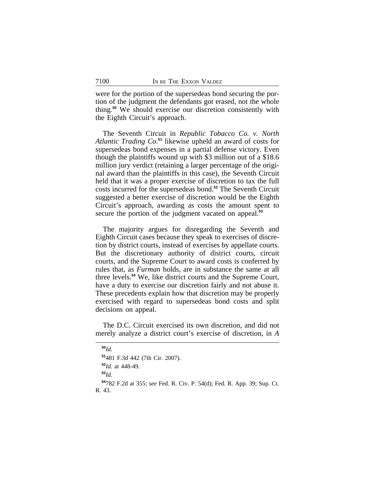were for the portion of the supersedeas bond securing the portion of the judgment the defendants got erased, not the whole thing.**<sup>50</sup>** We should exercise our discretion consistently with the Eighth Circuit's approach.

The Seventh Circuit in *Republic Tobacco Co. v. North Atlantic Trading Co.***<sup>51</sup>** likewise upheld an award of costs for supersedeas bond expenses in a partial defense victory. Even though the plaintiffs wound up with \$3 million out of a \$18.6 million jury verdict (retaining a larger percentage of the original award than the plaintiffs in this case), the Seventh Circuit held that it was a proper exercise of discretion to tax the full costs incurred for the supersedeas bond.**<sup>52</sup>** The Seventh Circuit suggested a better exercise of discretion would be the Eighth Circuit's approach, awarding as costs the amount spent to secure the portion of the judgment vacated on appeal.**<sup>53</sup>**

The majority argues for disregarding the Seventh and Eighth Circuit cases because they speak to exercises of discretion by district courts, instead of exercises by appellate courts. But the discretionary authority of district courts, circuit courts, and the Supreme Court to award costs is conferred by rules that, as *Furman* holds, are in substance the same at all three levels.**<sup>54</sup>** We, like district courts and the Supreme Court, have a duty to exercise our discretion fairly and not abuse it. These precedents explain how that discretion may be properly exercised with regard to supersedeas bond costs and split decisions on appeal.

The D.C. Circuit exercised its own discretion, and did not merely analyze a district court's exercise of discretion, in *A*

**<sup>50</sup>***Id.* **<sup>51</sup>**481 F.3d 442 (7th Cir. 2007). **<sup>52</sup>***Id.* at 448-49. **<sup>53</sup>***Id.* **<sup>54</sup>**782 F.2d at 355; *see* Fed. R. Civ. P. 54(d); Fed. R. App. 39; Sup. Ct. R. 43.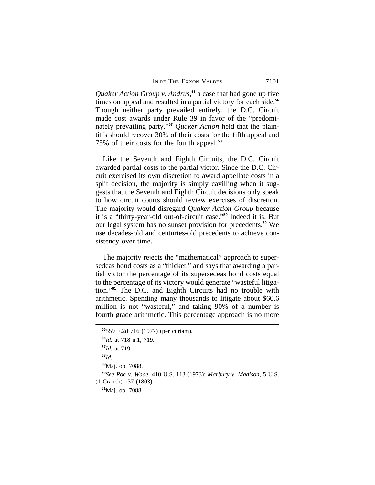IN RE THE EXXON VALDEZ 7101

*Quaker Action Group v. Andrus*, **<sup>55</sup>** a case that had gone up five times on appeal and resulted in a partial victory for each side.**<sup>56</sup>** Though neither party prevailed entirely, the D.C. Circuit made cost awards under Rule 39 in favor of the "predominately prevailing party." **<sup>57</sup>** *Quaker Action* held that the plaintiffs should recover 30% of their costs for the fifth appeal and 75% of their costs for the fourth appeal.**<sup>58</sup>**

Like the Seventh and Eighth Circuits, the D.C. Circuit awarded partial costs to the partial victor. Since the D.C. Circuit exercised its own discretion to award appellate costs in a split decision, the majority is simply cavilling when it suggests that the Seventh and Eighth Circuit decisions only speak to how circuit courts should review exercises of discretion. The majority would disregard *Quaker Action Group* because it is a "thirty-year-old out-of-circuit case." **<sup>59</sup>** Indeed it is. But our legal system has no sunset provision for precedents.**<sup>60</sup>** We use decades-old and centuries-old precedents to achieve consistency over time.

The majority rejects the "mathematical" approach to supersedeas bond costs as a "thicket," and says that awarding a partial victor the percentage of its supersedeas bond costs equal to the percentage of its victory would generate "wasteful litigation."**<sup>61</sup>** The D.C. and Eighth Circuits had no trouble with arithmetic. Spending many thousands to litigate about \$60.6 million is not "wasteful," and taking 90% of a number is fourth grade arithmetic. This percentage approach is no more

**<sup>55</sup>**559 F.2d 716 (1977) (per curiam). **<sup>56</sup>***Id.* at 718 n.1, 719.

**<sup>57</sup>***Id.* at 719. **<sup>58</sup>***Id.* **<sup>59</sup>**Maj. op. 7088. **<sup>60</sup>***See Roe v. Wade*, 410 U.S. 113 (1973); *Marbury v. Madison*, 5 U.S. (1 Cranch) 137 (1803). **<sup>61</sup>**Maj. op. 7088.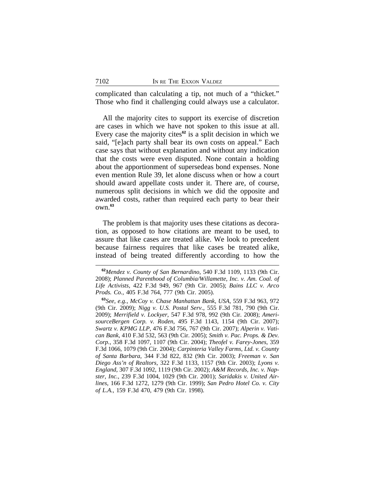complicated than calculating a tip, not much of a "thicket." Those who find it challenging could always use a calculator.

All the majority cites to support its exercise of discretion are cases in which we have not spoken to this issue at all. Every case the majority cites**<sup>62</sup>** is a split decision in which we said, "[e]ach party shall bear its own costs on appeal." Each case says that without explanation and without any indication that the costs were even disputed. None contain a holding about the apportionment of supersedeas bond expenses. None even mention Rule 39, let alone discuss when or how a court should award appellate costs under it. There are, of course, numerous split decisions in which we did the opposite and awarded costs, rather than required each party to bear their own.**<sup>63</sup>**

The problem is that majority uses these citations as decoration, as opposed to how citations are meant to be used, to assure that like cases are treated alike. We look to precedent because fairness requires that like cases be treated alike, instead of being treated differently according to how the

**<sup>62</sup>***Mendez v. County of San Bernardino*, 540 F.3d 1109, 1133 (9th Cir. 2008); *Planned Parenthood of Columbia/Willamette, Inc. v. Am. Coal. of Life Activists*, 422 F.3d 949, 967 (9th Cir. 2005); *Bains LLC v. Arco Prods. Co.*, 405 F.3d 764, 777 (9th Cir. 2005).

**<sup>63</sup>***See, e.g.*, *McCoy v. Chase Manhattan Bank, USA*, 559 F.3d 963, 972 (9th Cir. 2009); *Nigg v. U.S. Postal Serv.*, 555 F.3d 781, 790 (9th Cir. 2009); *Merrifield v. Lockyer*, 547 F.3d 978, 992 (9th Cir. 2008); *AmerisourceBergen Corp. v. Roden*, 495 F.3d 1143, 1154 (9th Cir. 2007); *Swartz v. KPMG LLP*, 476 F.3d 756, 767 (9th Cir. 2007); *Alperin v. Vatican Bank*, 410 F.3d 532, 563 (9th Cir. 2005); *Smith v. Pac. Props. & Dev. Corp.*, 358 F.3d 1097, 1107 (9th Cir. 2004); *Theofel v. Farey-Jones*, 359 F.3d 1066, 1079 (9th Cir. 2004); *Carpinteria Valley Farms, Ltd. v. County of Santa Barbara*, 344 F.3d 822, 832 (9th Cir. 2003); *Freeman v. San Diego Ass'n of Realtors*, 322 F.3d 1133, 1157 (9th Cir. 2003); *Lyons v. England*, 307 F.3d 1092, 1119 (9th Cir. 2002); *A&M Records, Inc. v. Napster, Inc.*, 239 F.3d 1004, 1029 (9th Cir. 2001); *Saridakis v. United Airlines*, 166 F.3d 1272, 1279 (9th Cir. 1999); *San Pedro Hotel Co. v. City of L.A.*, 159 F.3d 470, 479 (9th Cir. 1998).